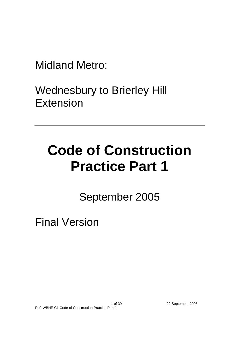Midland Metro:

Wednesbury to Brierley Hill Extension

# **Code of Construction Practice Part 1**

September 2005

Final Version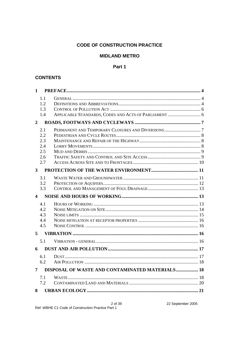# **CODE OF CONSTRUCTION PRACTICE**

# **MIDLAND METRO**

#### Part 1

# **CONTENTS**

| 1                       |                                               |                                                        |  |
|-------------------------|-----------------------------------------------|--------------------------------------------------------|--|
|                         | 1.1<br>1.2<br>1.3<br>1.4                      |                                                        |  |
| $\overline{2}$          |                                               |                                                        |  |
|                         | 2.1<br>2.2<br>2.3<br>2.4<br>2.5<br>2.6<br>2.7 |                                                        |  |
| 3                       |                                               |                                                        |  |
|                         | 3.1<br>3.2<br>3.3                             |                                                        |  |
| $\overline{\mathbf{4}}$ |                                               |                                                        |  |
|                         | 4.1                                           |                                                        |  |
|                         | 4.2<br>4.3<br>4.4<br>4.5                      |                                                        |  |
| 5                       |                                               |                                                        |  |
|                         | 5.1                                           |                                                        |  |
| 6                       |                                               |                                                        |  |
|                         | 6.1<br>6.2                                    |                                                        |  |
| 7                       |                                               | <b>DISPOSAL OF WASTE AND CONTAMINATED MATERIALS 18</b> |  |
|                         | 7.1<br>7.2                                    |                                                        |  |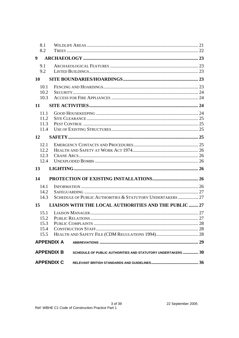|                   | 8.1<br>8.2                           |                   |                                                              |  |
|-------------------|--------------------------------------|-------------------|--------------------------------------------------------------|--|
| 9                 |                                      |                   |                                                              |  |
|                   | 9.1<br>9.2                           |                   |                                                              |  |
| <b>10</b>         |                                      |                   |                                                              |  |
|                   | 10.1<br>10.2<br>10.3                 |                   |                                                              |  |
| 11                |                                      |                   |                                                              |  |
|                   | 11.1<br>11.2<br>11.3<br>11.4         |                   |                                                              |  |
| 12                |                                      |                   |                                                              |  |
|                   | 12.1<br>12.2<br>12.3<br>12.4         |                   |                                                              |  |
| 13                |                                      |                   |                                                              |  |
| 14                |                                      |                   |                                                              |  |
|                   | 14.1<br>14.2<br>14.3                 |                   | SCHEDULE OF PUBLIC AUTHORITIES & STATUTORY UNDERTAKERS  27   |  |
| 15                |                                      |                   | LIAISON WITH THE LOCAL AUTHORITIES AND THE PUBLIC  27        |  |
|                   | 15.1<br>15.2<br>15.3<br>15.4<br>15.5 |                   |                                                              |  |
|                   |                                      | <b>APPENDIX A</b> |                                                              |  |
| <b>APPENDIX B</b> |                                      |                   | SCHEDULE OF PUBLIC AUTHORITIES AND STATUTORY UNDERTAKERS  30 |  |
|                   |                                      | <b>APPENDIX C</b> |                                                              |  |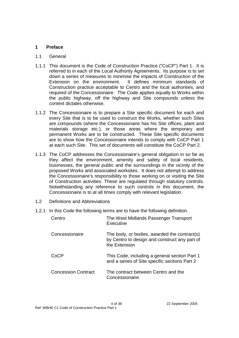## **1 Preface**

#### 1.1 General

- 1.1.1 This document is the Code of Construction Practice ("CoCP") Part 1. It is referred to in each of the Local Authority Agreements. Its purpose is to set down a series of measures to minimise the impacts of Construction of the Extension on the environment. It defines minimum standards of Construction practice acceptable to Centro and the local authorities, and required of the Concessionaire. The Code applies equally to Works within the public highway, off the highway and Site compounds unless the context dictates otherwise.
- 1.1.2 The Concessionaire is to prepare a Site specific document for each and every Site that is to be used to construct the Works, whether such Sites are compounds (where the Concessionaire has his Site offices, plant and materials storage etc.), or those areas where the temporary and permanent Works are to be constructed. These Site specific documents are to show how the Concessionaire intends to comply with CoCP Part 1 at each such Site. This set of documents will constitute the CoCP Part 2.
- 1.1.3 The CoCP addresses the Concessionaire's general obligation in so far as they affect the environment, amenity and safety of local residents, businesses, the general public and the surroundings in the vicinity of the proposed Works and associated worksites. It does not attempt to address the Concessionaire's responsibility to those working on or visiting the Site of Construction activities. These are regulated through statutory controls. Notwithstanding any reference to such controls in this document, the Concessionaire is to at all times comply with relevant legislation.
- 1.2 Definitions and Abbreviations
- 1.2.1 In this Code the following terms are to have the following definition.

| Centro                     | The West Midlands Passenger Transport<br>Executive                                                             |
|----------------------------|----------------------------------------------------------------------------------------------------------------|
| Concessionaire             | The body, or bodies, awarded the contract(s)<br>by Centro to design and construct any part of<br>the Extension |
| CoCP                       | This Code, including a general section Part 1<br>and a series of Site specific sections Part 2                 |
| <b>Concession Contract</b> | The contract between Centro and the<br>Concessionaire.                                                         |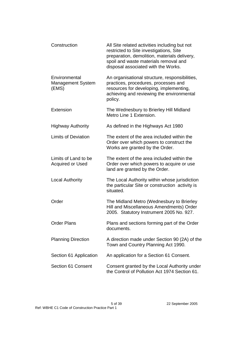| Construction                                       | All Site related activities including but not<br>restricted to Site investigations, Site<br>preparation, demolition, materials delivery,<br>spoil and waste materials removal and<br>disposal associated with the Works. |
|----------------------------------------------------|--------------------------------------------------------------------------------------------------------------------------------------------------------------------------------------------------------------------------|
| Environmental<br><b>Management System</b><br>(EMS) | An organisational structure, responsibilities,<br>practices, procedures, processes and<br>resources for developing, implementing,<br>achieving and reviewing the environmental<br>policy.                                |
| Extension                                          | The Wednesbury to Brierley Hill Midland<br>Metro Line 1 Extension.                                                                                                                                                       |
| <b>Highway Authority</b>                           | As defined in the Highways Act 1980                                                                                                                                                                                      |
| <b>Limits of Deviation</b>                         | The extent of the area included within the<br>Order over which powers to construct the<br>Works are granted by the Order.                                                                                                |
| Limits of Land to be<br><b>Acquired or Used</b>    | The extent of the area included within the<br>Order over which powers to acquire or use<br>land are granted by the Order.                                                                                                |
| <b>Local Authority</b>                             | The Local Authority within whose jurisdiction<br>the particular Site or construction activity is<br>situated.                                                                                                            |
| Order                                              | The Midland Metro (Wednesbury to Brierley<br>Hill and Miscellaneous Amendments) Order<br>2005. Statutory Instrument 2005 No. 927.                                                                                        |
| <b>Order Plans</b>                                 | Plans and sections forming part of the Order<br>documents.                                                                                                                                                               |
| <b>Planning Direction</b>                          | A direction made under Section 90 (2A) of the<br>Town and Country Planning Act 1990.                                                                                                                                     |
| Section 61 Application                             | An application for a Section 61 Consent.                                                                                                                                                                                 |
| Section 61 Consent                                 | Consent granted by the Local Authority under<br>the Control of Pollution Act 1974 Section 61.                                                                                                                            |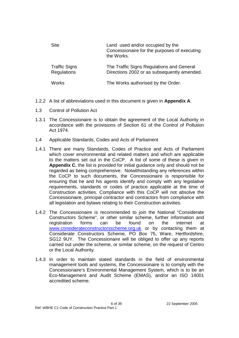| <b>Site</b>                                | Land used and/or occupied by the<br>Concessionaire for the purposes of executing<br>the Works. |
|--------------------------------------------|------------------------------------------------------------------------------------------------|
| <b>Traffic Signs</b><br><b>Regulations</b> | The Traffic Signs Regulations and General<br>Directions 2002 or as subsequently amended.       |
| Works                                      | The Works authorised by the Order.                                                             |

- 1.2.2 A list of abbreviations used in this document is given in **Appendix A**.
- 1.3 Control of Pollution Act
- 1.3.1 The Concessionaire is to obtain the agreement of the Local Authority in accordance with the provisions of Section 61 of the Control of Pollution Act 1974.
- 1.4 Applicable Standards, Codes and Acts of Parliament
- 1.4.1 There are many Standards, Codes of Practice and Acts of Parliament which cover environmental and related matters and which are applicable to the matters set out in the CoCP. A list of some of these is given in **Appendix C**, the list is provided for initial guidance only and should not be regarded as being comprehensive. Notwithstanding any references within the CoCP to such documents, the Concessionaire is responsible for ensuring that he and his agents identify and comply with any legislative requirements, standards or codes of practice applicable at the time of Construction activities. Compliance with this CoCP will not absolve the Concessionaire, principal contractor and contractors from compliance with all legislation and bylaws relating to their Construction activities.
- 1.4.2 The Concessionaire is recommended to join the National "Considerate Constructors Scheme", or other similar scheme, further information and registration forms can be found on the internet at www.considerateconstructorsscheme.org.uk or by contacting them at Considerate Constructors Scheme, PO Box 75, Ware, Hertfordshire, SG12 9UY. The Concessionaire will be obliged to offer up any reports carried out under the scheme, or similar scheme, on the request of Centro or the Local Authority.
- 1.4.3 In order to maintain stated standards in the field of environmental management tools and systems, the Concessionaire is to comply with the Concessionaire's Environmental Management System, which is to be an Eco-Management and Audit Scheme (EMAS), and/or an ISO 14001 accredited scheme.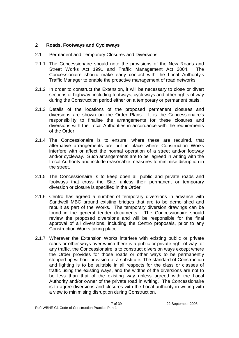## **2 Roads, Footways and Cycleways**

- 2.1 Permanent and Temporary Closures and Diversions
- 2.1.1 The Concessionaire should note the provisions of the New Roads and Street Works Act 1991 and Traffic Management Act 2004. The Concessionaire should make early contact with the Local Authority's Traffic Manager to enable the proactive management of road networks.
- 2.1.2 In order to construct the Extension, it will be necessary to close or divert sections of highway, including footways, cycleways and other rights of way during the Construction period either on a temporary or permanent basis.
- 2.1.3 Details of the locations of the proposed permanent closures and diversions are shown on the Order Plans. It is the Concessionaire's responsibility to finalise the arrangements for these closures and diversions with the Local Authorities in accordance with the requirements of the Order.
- 2.1.4 The Concessionaire is to ensure, where these are required, that alternative arrangements are put in place where Construction Works interfere with or affect the normal operation of a street and/or footway and/or cycleway. Such arrangements are to be agreed in writing with the Local Authority and include reasonable measures to minimise disruption in the street.
- 2.1.5 The Concessionaire is to keep open all public and private roads and footways that cross the Site, unless their permanent or temporary diversion or closure is specified in the Order.
- 2.1.6 Centro has agreed a number of temporary diversions in advance with Sandwell MBC around existing bridges that are to be demolished and rebuilt as part of the Works. The temporary diversion drawings can be found in the general tender documents. The Concessionaire should review the proposed diversions and will be responsible for the final approval of all diversions, including the Centro proposals, prior to any Construction Works taking place.
- 2.1.7 Wherever the Extension Works interfere with existing public or private roads or other ways over which there is a public or private right of way for any traffic, the Concessionaire is to construct diversion ways except where the Order provides for those roads or other ways to be permanently stopped up without provision of a substitute. The standard of Construction and lighting is to be suitable in all respects for the class or classes of traffic using the existing ways, and the widths of the diversions are not to be less than that of the existing way unless agreed with the Local Authority and/or owner of the private road in writing. The Concessionaire is to agree diversions and closures with the Local authority in writing with a view to minimising disruption during Construction.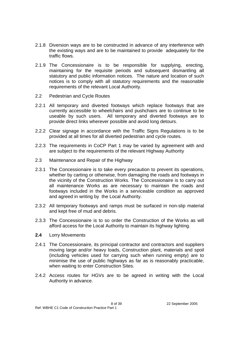- 2.1.8 Diversion ways are to be constructed in advance of any interference with the existing ways and are to be maintained to provide adequately for the traffic flows.
- 2.1.9 The Concessionaire is to be responsible for supplying, erecting, maintaining for the requisite periods and subsequent dismantling all statutory and public information notices. The nature and location of such notices is to comply with all statutory requirements and the reasonable requirements of the relevant Local Authority.
- 2.2 Pedestrian and Cycle Routes
- 2.2.1 All temporary and diverted footways which replace footways that are currently accessible to wheelchairs and pushchairs are to continue to be useable by such users. All temporary and diverted footways are to provide direct links wherever possible and avoid long detours.
- 2.2.2 Clear signage in accordance with the Traffic Signs Regulations is to be provided at all times for all diverted pedestrian and cycle routes.
- 2.2.3 The requirements in CoCP Part 1 may be varied by agreement with and are subject to the requirements of the relevant Highway Authority
- 2.3 Maintenance and Repair of the Highway
- 2.3.1 The Concessionaire is to take every precaution to prevent its operations, whether by carting or otherwise, from damaging the roads and footways in the vicinity of the Construction Works. The Concessionaire is to carry out all maintenance Works as are necessary to maintain the roads and footways included in the Works in a serviceable condition as approved and agreed in writing by the Local Authority.
- 2.3.2 All temporary footways and ramps must be surfaced in non-slip material and kept free of mud and debris.
- 2.3.3 The Concessionaire is to so order the Construction of the Works as will afford access for the Local Authority to maintain its highway lighting.
- **2.4** Lorry Movements
- 2.4.1 The Concessionaire, its principal contractor and contractors and suppliers moving large and/or heavy loads, Construction plant, materials and spoil (including vehicles used for carrying such when running empty) are to minimise the use of public highways as far as is reasonably practicable, when waiting to enter Construction Sites.
- 2.4.2 Access routes for HGVs are to be agreed in writing with the Local Authority in advance.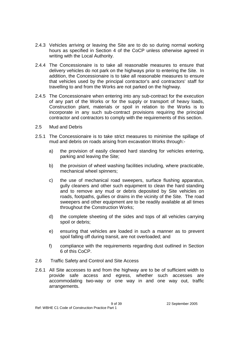- 2.4.3 Vehicles arriving or leaving the Site are to do so during normal working hours as specified in Section 4 of the CoCP unless otherwise agreed in writing with the Local Authority.
- 2.4.4 The Concessionaire is to take all reasonable measures to ensure that delivery vehicles do not park on the highways prior to entering the Site. In addition, the Concessionaire is to take all reasonable measures to ensure that vehicles used by the principal contractor's and contractors' staff for travelling to and from the Works are not parked on the highway.
- 2.4.5 The Concessionaire when entering into any sub-contract for the execution of any part of the Works or for the supply or transport of heavy loads, Construction plant, materials or spoil in relation to the Works is to incorporate in any such sub-contract provisions requiring the principal contractor and contractors to comply with the requirements of this section.
- 2.5 Mud and Debris
- 2.5.1 The Concessionaire is to take strict measures to minimise the spillage of mud and debris on roads arising from excavation Works through:
	- a) the provision of easily cleaned hard standing for vehicles entering, parking and leaving the Site;
	- b) the provision of wheel washing facilities including, where practicable, mechanical wheel spinners;
	- c) the use of mechanical road sweepers, surface flushing apparatus, gully cleaners and other such equipment to clean the hard standing and to remove any mud or debris deposited by Site vehicles on roads, footpaths, gullies or drains in the vicinity of the Site. The road sweepers and other equipment are to be readily available at all times throughout the Construction Works;
	- d) the complete sheeting of the sides and tops of all vehicles carrying spoil or debris;
	- e) ensuring that vehicles are loaded in such a manner as to prevent spoil falling off during transit, are not overloaded; and
	- f) compliance with the requirements regarding dust outlined in Section 6 of this CoCP.
- 2.6 Traffic Safety and Control and Site Access
- 2.6.1 All Site accesses to and from the highway are to be of sufficient width to provide safe access and egress, whether such accesses are accommodating two-way or one way in and one way out, traffic arrangements.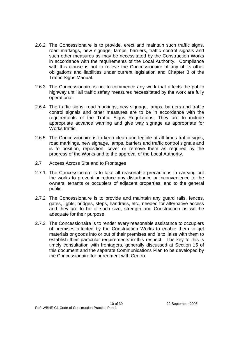- 2.6.2 The Concessionaire is to provide, erect and maintain such traffic signs, road markings, new signage, lamps, barriers, traffic control signals and such other measures as may be necessitated by the Construction Works in accordance with the requirements of the Local Authority. Compliance with this clause is not to relieve the Concessionaire of any of its other obligations and liabilities under current legislation and Chapter 8 of the Traffic Signs Manual.
- 2.6.3 The Concessionaire is not to commence any work that affects the public highway until all traffic safety measures necessitated by the work are fully operational.
- 2.6.4 The traffic signs, road markings, new signage, lamps, barriers and traffic control signals and other measures are to be in accordance with the requirements of the Traffic Signs Regulations. They are to include appropriate advance warning and give way signage as appropriate for Works traffic.
- 2.6.5 The Concessionaire is to keep clean and legible at all times traffic signs, road markings, new signage, lamps, barriers and traffic control signals and is to position, reposition, cover or remove them as required by the progress of the Works and to the approval of the Local Authority.
- 2.7 Access Across Site and to Frontages
- 2.7.1 The Concessionaire is to take all reasonable precautions in carrying out the works to prevent or reduce any disturbance or inconvenience to the owners, tenants or occupiers of adjacent properties, and to the general public.
- 2.7.2 The Concessionaire is to provide and maintain any guard rails, fences, gates, lights, bridges, steps, handrails, etc., needed for alternative access and they are to be of such size, strength and Construction as will be adequate for their purpose.
- 2.7.3 The Concessionaire is to render every reasonable assistance to occupiers of premises affected by the Construction Works to enable them to get materials or goods into or out of their premises and is to liaise with them to establish their particular requirements in this respect. The key to this is timely consultation with frontagers, generally discussed at Section 15 of this document and the separate Communications Plan to be developed by the Concessionaire for agreement with Centro.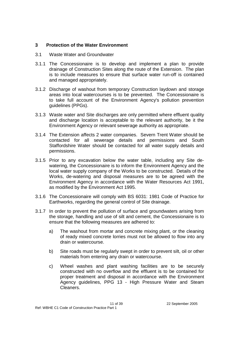# **3 Protection of the Water Environment**

- 3.1 Waste Water and Groundwater
- 3.1.1 The Concessionaire is to develop and implement a plan to provide drainage of Construction Sites along the route of the Extension. The plan is to include measures to ensure that surface water run-off is contained and managed appropriately.
- 3.1.2 Discharge of washout from temporary Construction laydown and storage areas into local watercourses is to be prevented. The Concessionaire is to take full account of the Environment Agency's pollution prevention guidelines (PPGs).
- 3.1.3 Waste water and Site discharges are only permitted where effluent quality and discharge location is acceptable to the relevant authority, be it the Environment Agency or relevant sewerage authority as appropriate.
- 3.1.4 The Extension affects 2 water companies. Severn Trent Water should be contacted for all sewerage details and permissions and South Staffordshire Water should be contacted for all water supply details and permissions.
- 3.1.5 Prior to any excavation below the water table, including any Site dewatering, the Concessionaire is to inform the Environment Agency and the local water supply company of the Works to be constructed. Details of the Works, de-watering and disposal measures are to be agreed with the Environment Agency in accordance with the Water Resources Act 1991, as modified by the Environment Act 1995.
- 3.1.6 The Concessionaire will comply with BS 6031: 1981 Code of Practice for Earthworks, regarding the general control of Site drainage.
- 3.1.7 In order to prevent the pollution of surface and groundwaters arising from the storage, handling and use of silt and cement, the Concessionaire is to ensure that the following measures are adhered to:
	- a) The washout from mortar and concrete mixing plant, or the cleaning of ready mixed concrete lorries must not be allowed to flow into any drain or watercourse.
	- b) Site roads must be regularly swept in order to prevent silt, oil or other materials from entering any drain or watercourse.
	- c) Wheel washes and plant washing facilities are to be securely constructed with no overflow and the effluent is to be contained for proper treatment and disposal in accordance with the Environment Agency guidelines, PPG 13 - High Pressure Water and Steam Cleaners.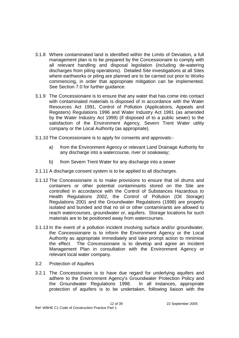- 3.1.8 Where contaminated land is identified within the Limits of Deviation, a full management plan is to be prepared by the Concessionaire to comply with all relevant handling and disposal legislation (including de-watering discharges from piling operations). Detailed Site investigations at all Sites where earthworks or piling are planned are to be carried out prior to Works commencing, in order that appropriate mitigation can be implemented. See Section 7.0 for further guidance.
- 3.1.9 The Concessionaire is to ensure that any water that has come into contact with contaminated materials is disposed of in accordance with the Water Resources Act 1991, Control of Pollution (Applications, Appeals and Registers) Regulations 1996 and Water Industry Act 1991 (as amended by the Water Industry Act 1999) (if disposed of to a public sewer) to the satisfaction of the Environment Agency, Severn Trent Water utility company or the Local Authority (as appropriate).
- 3.1.10 The Concessionaire is to apply for consents and approvals:
	- a) from the Environment Agency or relevant Land Drainage Authority for any discharge into a watercourse, river or soakaway;
	- b) from Severn Trent Water for any discharge into a sewer
- 3.1.11 A discharge consent system is to be applied to all discharges.
- 3.1.12 The Concessionaire is to make provisions to ensure that oil drums and containers or other potential contaminants stored on the Site are controlled in accordance with the Control of Substances Hazardous to Health Regulations 2002, the Control of Pollution (Oil Storage) Regulations 2001 and the Groundwater Regulations (1998) are properly isolated and bunded and that no oil or other contaminants are allowed to reach watercourses, groundwater or, aquifers. Storage locations for such materials are to be positioned away from watercourses.
- 3.1.13 In the event of a pollution incident involving surface and/or groundwater, the Concessionaire is to inform the Environment Agency or the Local Authority as appropriate immediately and take prompt action to minimise the effect. The Concessionaire is to develop and agree an Incident Management Plan in consultation with the Environment Agency or relevant local water company.
- 3.2 Protection of Aquifers
- 3.2.1 The Concessionaire is to have due regard for underlying aquifers and adhere to the Environment Agency's Groundwater Protection Policy and the Groundwater Regulations 1998. In all instances, appropriate protection of aquifers is to be undertaken, following liaison with the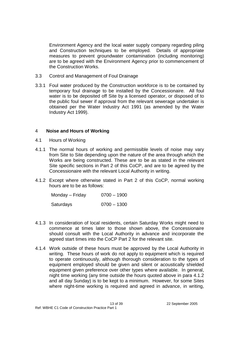Environment Agency and the local water supply company regarding piling and Construction techniques to be employed. Details of appropriate measures to prevent groundwater contamination (including monitoring) are to be agreed with the Environment Agency prior to commencement of the Construction Works.

- 3.3 Control and Management of Foul Drainage
- 3.3.1 Foul water produced by the Construction workforce is to be contained by temporary foul drainage to be installed by the Concessionaire. All foul water is to be deposited off Site by a licensed operator, or disposed of to the public foul sewer if approval from the relevant sewerage undertaker is obtained per the Water Industry Act 1991 (as amended by the Water Industry Act 1999).

## 4 **Noise and Hours of Working**

- 4.1 Hours of Working
- 4.1.1 The normal hours of working and permissible levels of noise may vary from Site to Site depending upon the nature of the area through which the Works are being constructed. These are to be as stated in the relevant Site specific sections in Part 2 of this CoCP, and are to be agreed by the Concessionaire with the relevant Local Authority in writing.
- 4.1.2 Except where otherwise stated in Part 2 of this CoCP, normal working hours are to be as follows:

| Monday – Friday | $0700 - 1900$ |
|-----------------|---------------|
| Saturdays       | $0700 - 1300$ |

- 4.1.3 In consideration of local residents, certain Saturday Works might need to commence at times later to those shown above, the Concessionaire should consult with the Local Authority in advance and incorporate the agreed start times into the CoCP Part 2 for the relevant site.
- 4.1.4 Work outside of these hours must be approved by the Local Authority in writing. These hours of work do not apply to equipment which is required to operate continuously, although thorough consideration to the types of equipment employed should be given and silent or acoustically shielded equipment given preference over other types where available. In general, night time working (any time outside the hours quoted above in para 4.1.2 and all day Sunday) is to be kept to a minimum. However, for some Sites where night-time working is required and agreed in advance, in writing,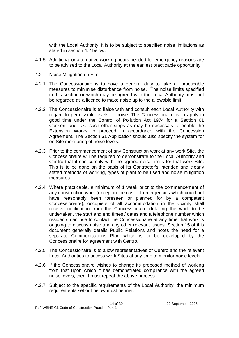with the Local Authority, it is to be subject to specified noise limitations as stated in section 4.2 below.

- 4.1.5 Additional or alternative working hours needed for emergency reasons are to be advised to the Local Authority at the earliest practicable opportunity.
- 4.2 Noise Mitigation on Site
- 4.2.1 The Concessionaire is to have a general duty to take all practicable measures to minimise disturbance from noise. The noise limits specified in this section or which may be agreed with the Local Authority must not be regarded as a licence to make noise up to the allowable limit.
- 4.2.2 The Concessionaire is to liaise with and consult each Local Authority with regard to permissible levels of noise. The Concessionaire is to apply in good time under the Control of Pollution Act 1974 for a Section 61 Consent and take such other steps as may be necessary to enable the Extension Works to proceed in accordance with the Concession Agreement. The Section 61 Application should also specify the system for on Site monitoring of noise levels.
- 4.2.3 Prior to the commencement of any Construction work at any work Site, the Concessionaire will be required to demonstrate to the Local Authority and Centro that it can comply with the agreed noise limits for that work Site. This is to be done on the basis of its Contractor's intended and clearly stated methods of working, types of plant to be used and noise mitigation measures.
- 4.2.4 Where practicable, a minimum of 1 week prior to the commencement of any construction work (except in the case of emergencies which could not have reasonably been foreseen or planned for by a competent Concessionaire), occupiers of all accommodation in the vicinity shall receive notification from the Concessionaire detailing the work to be undertaken, the start and end times / dates and a telephone number which residents can use to contact the Concessionaire at any time that work is ongoing to discuss noise and any other relevant issues. Section 15 of this document generally details Public Relations and notes the need for a separate Communications Plan which is to be developed by the Concessionaire for agreement with Centro.
- 4.2.5 The Concessionaire is to allow representatives of Centro and the relevant Local Authorities to access work Sites at any time to monitor noise levels.
- 4.2.6 If the Concessionaire wishes to change its proposed method of working from that upon which it has demonstrated compliance with the agreed noise levels, then it must repeat the above process.
- 4.2.7 Subject to the specific requirements of the Local Authority, the minimum requirements set out below must be met.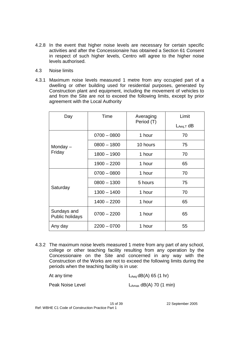- 4.2.8 In the event that higher noise levels are necessary for certain specific activities and after the Concessionaire has obtained a Section 61 Consent in respect of such higher levels, Centro will agree to the higher noise levels authorised.
- 4.3 Noise limits
- 4.3.1 Maximum noise levels measured 1 metre from any occupied part of a dwelling or other building used for residential purposes, generated by Construction plant and equipment, including the movement of vehicles to and from the Site are not to exceed the following limits, except by prior agreement with the Local Authority

| Day                            | Time          | Averaging  | Limit          |
|--------------------------------|---------------|------------|----------------|
|                                |               | Period (T) | $L_{Aeq,T}$ dB |
|                                | $0700 - 0800$ | 1 hour     | 70             |
| Monday $-$                     | $0800 - 1800$ | 10 hours   | 75             |
| Friday                         | $1800 - 1900$ | 1 hour     | 70             |
|                                | $1900 - 2200$ | 1 hour     | 65             |
|                                | $0700 - 0800$ | 1 hour     | 70             |
|                                | $0800 - 1300$ | 5 hours    | 75             |
| Saturday                       | $1300 - 1400$ | 1 hour     | 70             |
|                                | $1400 - 2200$ | 1 hour     | 65             |
| Sundays and<br>Public holidays | $0700 - 2200$ | 1 hour     | 65             |
| Any day                        | $2200 - 0700$ | 1 hour     | 55             |

4.3.2 The maximum noise levels measured 1 metre from any part of any school, college or other teaching facility resulting from any operation by the Concessionaire on the Site and concerned in any way with the Construction of the Works are not to exceed the following limits during the periods when the teaching facility is in use:

| At any time      | $L_{Aeq}$ dB(A) 65 (1 hr)          |
|------------------|------------------------------------|
| Peak Noise Level | $L_{\text{Amax}}$ dB(A) 70 (1 min) |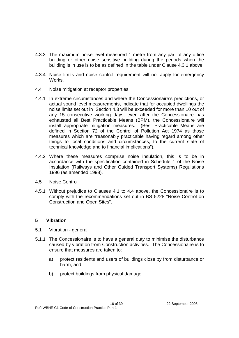- 4.3.3 The maximum noise level measured 1 metre from any part of any office building or other noise sensitive building during the periods when the building is in use is to be as defined in the table under Clause 4.3.1 above.
- 4.3.4 Noise limits and noise control requirement will not apply for emergency Works.
- 4.4 Noise mitigation at receptor properties
- 4.4.1 In extreme circumstances and where the Concessionaire's predictions, or actual sound level measurements, indicate that for occupied dwellings the noise limits set out in Section 4.3 will be exceeded for more than 10 out of any 15 consecutive working days, even after the Concessionaire has exhausted all Best Practicable Means (BPM), the Concessionaire will install appropriate mitigation measures. (Best Practicable Means are defined in Section 72 of the Control of Pollution Act 1974 as those measures which are "reasonably practicable having regard among other things to local conditions and circumstances, to the current state of technical knowledge and to financial implications").
- 4.4.2 Where these measures comprise noise insulation, this is to be in accordance with the specification contained in Schedule 1 of the Noise Insulation (Railways and Other Guided Transport Systems) Regulations 1996 (as amended 1998).
- 4.5 Noise Control
- 4.5.1 Without prejudice to Clauses 4.1 to 4.4 above, the Concessionaire is to comply with the recommendations set out in BS 5228 "Noise Control on Construction and Open Sites".

## **5 Vibration**

- 5.1 Vibration general
- 5.1.1 The Concessionaire is to have a general duty to minimise the disturbance caused by vibration from Construction activities. The Concessionaire is to ensure that measures are taken to:
	- a) protect residents and users of buildings close by from disturbance or harm; and
	- b) protect buildings from physical damage.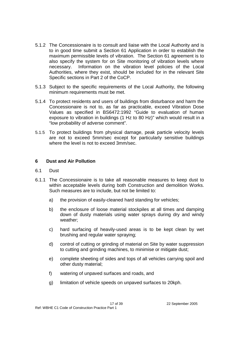- 5.1.2 The Concessionaire is to consult and liaise with the Local Authority and is to in good time submit a Section 61 Application in order to establish the maximum permissible levels of vibration. The Section 61 agreement is to also specify the system for on Site monitoring of vibration levels where necessary. Information on the vibration level policies of the Local Authorities, where they exist, should be included for in the relevant Site Specific sections in Part 2 of the CoCP.
- 5.1.3 Subject to the specific requirements of the Local Authority, the following minimum requirements must be met.
- 5.1.4 To protect residents and users of buildings from disturbance and harm the Concessionaire is not to, as far as practicable, exceed Vibration Dose Values as specified in BS6472:1992 "Guide to evaluation of human exposure to vibration in buildings (1 Hz to 80 Hz)" which would result in a "low probability of adverse comment".
- 5.1.5 To protect buildings from physical damage, peak particle velocity levels are not to exceed 5mm/sec except for particularly sensitive buildings where the level is not to exceed 3mm/sec.

## **6 Dust and Air Pollution**

- 6.1 Dust
- 6.1.1 The Concessionaire is to take all reasonable measures to keep dust to within acceptable levels during both Construction and demolition Works. Such measures are to include, but not be limited to:
	- a) the provision of easily-cleaned hard standing for vehicles;
	- b) the enclosure of loose material stockpiles at all times and damping down of dusty materials using water sprays during dry and windy weather;
	- c) hard surfacing of heavily-used areas is to be kept clean by wet brushing and regular water spraying;
	- d) control of cutting or grinding of material on Site by water suppression to cutting and grinding machines, to minimise or mitigate dust;
	- e) complete sheeting of sides and tops of all vehicles carrying spoil and other dusty material;
	- f) watering of unpaved surfaces and roads, and
	- g) limitation of vehicle speeds on unpaved surfaces to 20kph.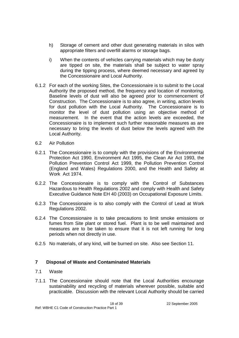- h) Storage of cement and other dust generating materials in silos with appropriate filters and overfill alarms or storage bags.
- i) When the contents of vehicles carrying materials which may be dusty are tipped on site, the materials shall be subject to water spray during the tipping process, where deemed necessary and agreed by the Concessionaire and Local Authority.
- 6.1.2 For each of the working Sites, the Concessionaire is to submit to the Local Authority the proposed method, the frequency and location of monitoring. Baseline levels of dust will also be agreed prior to commencement of Construction. The Concessionaire is to also agree, in writing, action levels for dust pollution with the Local Authority. The Concessionaire is to monitor the level of dust pollution using an objective method of measurement. In the event that the action levels are exceeded, the Concessionaire is to implement such further reasonable measures as are necessary to bring the levels of dust below the levels agreed with the Local Authority.
- 6.2 Air Pollution
- 6.2.1 The Concessionaire is to comply with the provisions of the Environmental Protection Act 1990, Environment Act 1995, the Clean Air Act 1993, the Pollution Prevention Control Act 1999, the Pollution Prevention Control (England and Wales) Regulations 2000, and the Health and Safety at Work Act 1974.
- 6.2.2 The Concessionaire is to comply with the Control of Substances Hazardous to Health Regulations 2002 and comply with Health and Safety Executive Guidance Note EH 40 (2003) on Occupational Exposure Limits.
- 6.2.3 The Concessionaire is to also comply with the Control of Lead at Work Regulations 2002.
- 6.2.4 The Concessionaire is to take precautions to limit smoke emissions or fumes from Site plant or stored fuel. Plant is to be well maintained and measures are to be taken to ensure that it is not left running for long periods when not directly in use.
- 6.2.5 No materials, of any kind, will be burned on site. Also see Section 11.

## **7 Disposal of Waste and Contaminated Materials**

#### 7.1 Waste

7.1.1 The Concessionaire should note that the Local Authorities encourage sustainability and recycling of materials wherever possible, suitable and practicable. Discussion with the relevant Local Authority should be carried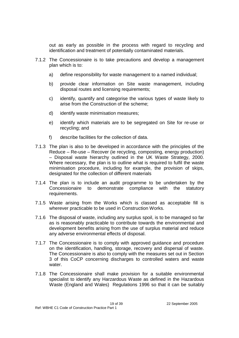out as early as possible in the process with regard to recycling and identification and treatment of potentially contaminated materials.

- 7.1.2 The Concessionaire is to take precautions and develop a management plan which is to:
	- a) define responsibility for waste management to a named individual;
	- b) provide clear information on Site waste management, including disposal routes and licensing requirements;
	- c) identify, quantify and categorise the various types of waste likely to arise from the Construction of the scheme;
	- d) identify waste minimisation measures;
	- e) identify which materials are to be segregated on Site for re-use or recycling; and
	- f) describe facilities for the collection of data.
- 7.1.3 The plan is also to be developed in accordance with the principles of the Reduce – Re-use – Recover (ie recycling, composting, energy production) – Disposal waste hierarchy outlined in the UK Waste Strategy, 2000. Where necessary, the plan is to outline what is required to fulfil the waste minimisation procedure, including for example, the provision of skips, designated for the collection of different materials
- 7.1.4 The plan is to include an audit programme to be undertaken by the Concessionaire to demonstrate compliance with the statutory requirements.
- 7.1.5 Waste arising from the Works which is classed as acceptable fill is wherever practicable to be used in Construction Works.
- 7.1.6 The disposal of waste, including any surplus spoil, is to be managed so far as is reasonably practicable to contribute towards the environmental and development benefits arising from the use of surplus material and reduce any adverse environmental effects of disposal.
- 7.1.7 The Concessionaire is to comply with approved guidance and procedure on the identification, handling, storage, recovery and dispersal of waste. The Concessionaire is also to comply with the measures set out in Section 3 of this CoCP concerning discharges to controlled waters and waste water.
- 7.1.8 The Concessionaire shall make provision for a suitable environmental specialist to identify any Harzardous Waste as defined in the Hazardous Waste (England and Wales) Regulations 1996 so that it can be suitably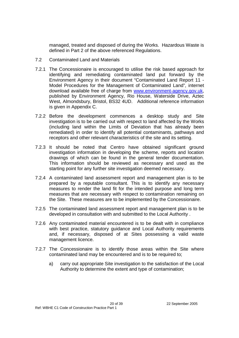managed, treated and disposed of during the Works. Hazardous Waste is defined in Part 2 of the above referenced Regulations.

- 7.2 Contaminated Land and Materials
- 7.2.1 The Concessionaire is encouraged to utilise the risk based approach for identifying and remediating contaminated land put forward by the Environment Agency in their document "Contaminated Land Report 11 - Model Procedures for the Management of Contaminated Land", internet download available free of charge from www.environment-agency.gov.uk, published by Environment Agency, Rio House, Waterside Drive, Aztec West, Almondsbury, Bristol, BS32 4UD. Additional reference information is given in Appendix C.
- 7.2.2 Before the development commences a desktop study and Site investigation is to be carried out with respect to land affected by the Works (including land within the Limits of Deviation that has already been remediated) in order to identify all potential contaminants, pathways and receptors and other relevant characteristics of the site and its setting.
- 7.2.3 It should be noted that Centro have obtained significant ground investigation information in developing the scheme, reports and location drawings of which can be found in the general tender documentation. This information should be reviewed as necessary and used as the starting point for any further site investigation deemed necessary.
- 7.2.4 A contaminated land assessment report and management plan is to be prepared by a reputable consultant. This is to identify any necessary measures to render the land fit for the intended purpose and long term measures that are necessary with respect to contamination remaining on the Site. These measures are to be implemented by the Concessionaire.
- 7.2.5 The contaminated land assessment report and management plan is to be developed in consultation with and submitted to the Local Authority .
- 7.2.6 Any contaminated material encountered is to be dealt with in compliance with best practice, statutory guidance and Local Authority requirements and, if necessary, disposed of at Sites possessing a valid waste management licence.
- 7.2.7 The Concessionaire is to identify those areas within the Site where contaminated land may be encountered and is to be required to;
	- a) carry out appropriate Site investigation to the satisfaction of the Local Authority to determine the extent and type of contamination;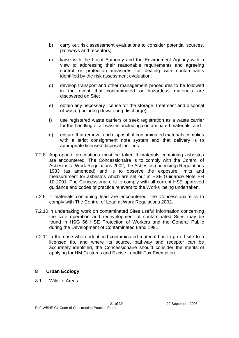- b) carry out risk assessment evaluations to consider potential sources, pathways and receptors;
- c) liaise with the Local Authority and the Environment Agency with a view to addressing their reasonable requirements and agreeing control or protection measures for dealing with contaminants identified by the risk assessment evaluation;
- d) develop transport and other management procedures to be followed in the event that contaminated or hazardous materials are discovered on Site;
- e) obtain any necessary license for the storage, treatment and disposal of waste (including dewatering discharge);
- f) use registered waste carriers or seek registration as a waste carrier for the handling of all wastes, including contaminated materials; and
- g) ensure that removal and disposal of contaminated materials complies with a strict consignment note system and that delivery is to appropriate licensed disposal facilities.
- 7.2.8 Appropriate precautions must be taken if materials containing asbestos are encountered. The Concessionaire is to comply with the Control of Asbestos at Work Regulations 2002, the Asbestos (Licensing) Regulations 1983 (as amended) and is to observe the exposure limits and measurement for asbestos which are set out in HSE Guidance Note EH 10 2001. The Concessionaire is to comply with all current HSE approved guidance and codes of practice relevant to the Works being undertaken.
- 7.2.9 If materials containing lead are encountered, the Concessionaire is to comply with The Control of Lead at Work Regulations 2002.
- 7.2.10 In undertaking work on contaminated Sites useful information concerning the safe operation and redevelopment of contaminated Sites may be found in HSG 66 HSE Protection of Workers and the General Public during the Development of Contaminated Land 1991.
- 7.2.11 In the case where identified contaminated material has to go off site to a licensed tip, and where its source, pathway and receptor can be accurately identified, the Concessionaire should consider the merits of applying for HM Customs and Excise Landfill Tax Exemption.

## **8 Urban Ecology**

8.1 Wildlife Areas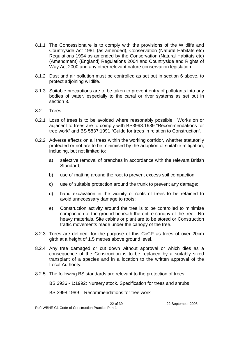- 8.1.1 The Concessionaire is to comply with the provisions of the Wildlife and Countryside Act 1981 (as amended), Conservation (Natural Habitats etc) Regulations 1994 as amended by the Conservation (Natural Habitats etc) (Amendment) (England) Regulations 2004 and Countryside and Rights of Way Act 2000 and any other relevant nature conservation legislation.
- 8.1.2 Dust and air pollution must be controlled as set out in section 6 above, to protect adjoining wildlife.
- 8.1.3 Suitable precautions are to be taken to prevent entry of pollutants into any bodies of water, especially to the canal or river systems as set out in section 3.
- 8.2 Trees
- 8.2.1 Loss of trees is to be avoided where reasonably possible. Works on or adjacent to trees are to comply with BS3998:1989 "Recommendations for tree work" and BS 5837:1991 "Guide for trees in relation to Construction".
- 8.2.2 Adverse effects on all trees within the working corridor, whether statutorily protected or not are to be minimised by the adoption of suitable mitigation, including, but not limited to:
	- a) selective removal of branches in accordance with the relevant British Standard;
	- b) use of matting around the root to prevent excess soil compaction;
	- c) use of suitable protection around the trunk to prevent any damage;
	- d) hand excavation in the vicinity of roots of trees to be retained to avoid unnecessary damage to roots;
	- e) Construction activity around the tree is to be controlled to minimise compaction of the ground beneath the entire canopy of the tree. No heavy materials, Site cabins or plant are to be stored or Construction traffic movements made under the canopy of the tree.
- 8.2.3 Trees are defined, for the purpose of this CoCP as trees of over 20cm girth at a height of 1.5 metres above ground level.
- 8.2.4 Any tree damaged or cut down without approval or which dies as a consequence of the Construction is to be replaced by a suitably sized transplant of a species and in a location to the written approval of the Local Authority.
- 8.2.5 The following BS standards are relevant to the protection of trees:

BS 3936 - 1:1992: Nursery stock. Specification for trees and shrubs

BS 3998:1989 – Recommendations for tree work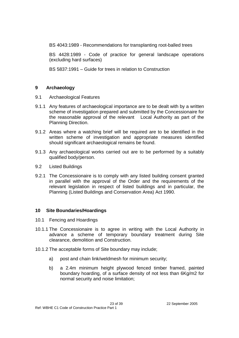BS 4043:1989 - Recommendations for transplanting root-balled trees

BS 4428:1989 - Code of practice for general landscape operations (excluding hard surfaces)

BS 5837:1991 – Guide for trees in relation to Construction

## **9 Archaeology**

- 9.1 Archaeological Features
- 9.1.1 Any features of archaeological importance are to be dealt with by a written scheme of investigation prepared and submitted by the Concessionaire for the reasonable approval of the relevant Local Authority as part of the Planning Direction.
- 9.1.2 Areas where a watching brief will be required are to be identified in the written scheme of investigation and appropriate measures identified should significant archaeological remains be found.
- 9.1.3 Any archaeological works carried out are to be performed by a suitably qualified body/person.
- 9.2 Listed Buildings
- 9.2.1 The Concessionaire is to comply with any listed building consent granted in parallel with the approval of the Order and the requirements of the relevant legislation in respect of listed buildings and in particular, the Planning (Listed Buildings and Conservation Area) Act 1990.

## **10 Site Boundaries/Hoardings**

- 10.1 Fencing and Hoardings
- 10.1.1 The Concessionaire is to agree in writing with the Local Authority in advance a scheme of temporary boundary treatment during Site clearance, demolition and Construction.
- 10.1.2 The acceptable forms of Site boundary may include;
	- a) post and chain link/weldmesh for minimum security;
	- b) a 2.4m minimum height plywood fenced timber framed, painted boundary hoarding, of a surface density of not less than 6Kg/m2 for normal security and noise limitation;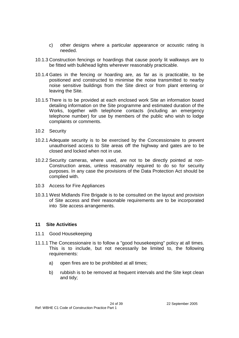- c) other designs where a particular appearance or acoustic rating is needed.
- 10.1.3 Construction fencings or hoardings that cause poorly lit walkways are to be fitted with bulkhead lights wherever reasonably practicable.
- 10.1.4 Gates in the fencing or hoarding are, as far as is practicable, to be positioned and constructed to minimise the noise transmitted to nearby noise sensitive buildings from the Site direct or from plant entering or leaving the Site.
- 10.1.5 There is to be provided at each enclosed work Site an information board detailing information on the Site programme and estimated duration of the Works, together with telephone contacts (including an emergency telephone number) for use by members of the public who wish to lodge complaints or comments.
- 10.2 Security
- 10.2.1 Adequate security is to be exercised by the Concessionaire to prevent unauthorised access to Site areas off the highway and gates are to be closed and locked when not in use.
- 10.2.2 Security cameras, where used, are not to be directly pointed at non-Construction areas, unless reasonably required to do so for security purposes. In any case the provisions of the Data Protection Act should be complied with.
- 10.3 Access for Fire Appliances
- 10.3.1 West Midlands Fire Brigade is to be consulted on the layout and provision of Site access and their reasonable requirements are to be incorporated into Site access arrangements.

## **11 Site Activities**

- 11.1 Good Housekeeping
- 11.1.1 The Concessionaire is to follow a "good housekeeping" policy at all times. This is to include, but not necessarily be limited to, the following requirements:
	- a) open fires are to be prohibited at all times;
	- b) rubbish is to be removed at frequent intervals and the Site kept clean and tidy;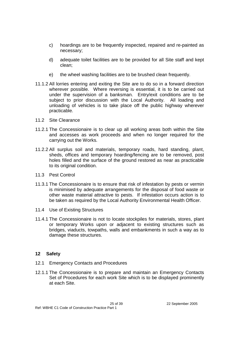- c) hoardings are to be frequently inspected, repaired and re-painted as necessary;
- d) adequate toilet facilities are to be provided for all Site staff and kept clean;
- e) the wheel washing facilities are to be brushed clean frequently.
- 11.1.2 All lorries entering and exiting the Site are to do so in a forward direction wherever possible. Where reversing is essential, it is to be carried out under the supervision of a banksman. Entry/exit conditions are to be subject to prior discussion with the Local Authority. All loading and unloading of vehicles is to take place off the public highway wherever practicable.
- 11.2 Site Clearance
- 11.2.1 The Concessionaire is to clear up all working areas both within the Site and accesses as work proceeds and when no longer required for the carrying out the Works.
- 11.2.2 All surplus soil and materials, temporary roads, hard standing, plant, sheds, offices and temporary hoarding/fencing are to be removed, post holes filled and the surface of the ground restored as near as practicable to its original condition.
- 11.3 Pest Control
- 11.3.1 The Concessionaire is to ensure that risk of infestation by pests or vermin is minimised by adequate arrangements for the disposal of food waste or other waste material attractive to pests. If infestation occurs action is to be taken as required by the Local Authority Environmental Health Officer.
- 11.4 Use of Existing Structures
- 11.4.1 The Concessionaire is not to locate stockpiles for materials, stores, plant or temporary Works upon or adjacent to existing structures such as bridges, viaducts, towpaths, walls and embankments in such a way as to damage these structures.

## **12 Safety**

- 12.1 Emergency Contacts and Procedures
- 12.1.1 The Concessionaire is to prepare and maintain an Emergency Contacts Set of Procedures for each work Site which is to be displayed prominently at each Site.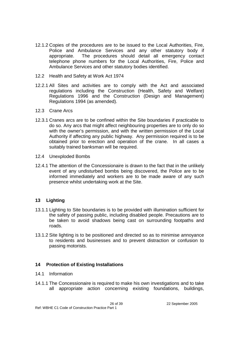- 12.1.2 Copies of the procedures are to be issued to the Local Authorities, Fire, Police and Ambulance Services and any other statutory body if appropriate. The procedures should detail all emergency contact telephone phone numbers for the Local Authorities, Fire, Police and Ambulance Services and other statutory bodies identified.
- 12.2 Health and Safety at Work Act 1974
- 12.2.1 All Sites and activities are to comply with the Act and associated regulations including the Construction (Health, Safety and Welfare) Regulations 1996 and the Construction (Design and Management) Regulations 1994 (as amended).
- 12.3 Crane Arcs
- 12.3.1 Cranes arcs are to be confined within the Site boundaries if practicable to do so. Any arcs that might affect neighbouring properties are to only do so with the owner's permission, and with the written permission of the Local Authority if affecting any public highway. Any permission required is to be obtained prior to erection and operation of the crane. In all cases a suitably trained banksman will be required.
- 12.4 Unexploded Bombs
- 12.4.1 The attention of the Concessionaire is drawn to the fact that in the unlikely event of any undisturbed bombs being discovered, the Police are to be informed immediately and workers are to be made aware of any such presence whilst undertaking work at the Site.

# **13 Lighting**

- 13.1.1 Lighting to Site boundaries is to be provided with illumination sufficient for the safety of passing public, including disabled people. Precautions are to be taken to avoid shadows being cast on surrounding footpaths and roads.
- 13.1.2 Site lighting is to be positioned and directed so as to minimise annoyance to residents and businesses and to prevent distraction or confusion to passing motorists.

## **14 Protection of Existing Installations**

## 14.1 Information

14.1.1 The Concessionaire is required to make his own investigations and to take all appropriate action concerning existing foundations, buildings,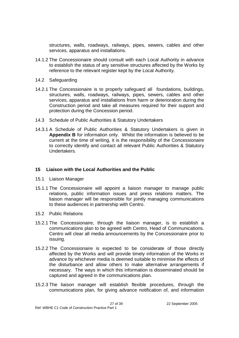structures, walls, roadways, railways, pipes, sewers, cables and other services, apparatus and installations.

- 14.1.2 The Concessionaire should consult with each Local Authority in advance to establish the status of any sensitive structures affected by the Works by reference to the relevant register kept by the Local Authority.
- 14.2 Safeguarding
- 14.2.1 The Concessionaire is to properly safeguard all foundations, buildings, structures, walls, roadways, railways, pipes, sewers, cables and other services, apparatus and installations from harm or deterioration during the Construction period and take all measures required for their support and protection during the Concession period.
- 14.3 Schedule of Public Authorities & Statutory Undertakers
- 14.3.1 A Schedule of Public Authorities & Statutory Undertakers is given in **Appendix B** for information only. Whilst the information is believed to be current at the time of writing, it is the responsibility of the Concessionaire to correctly identify and contact all relevant Public Authorities & Statutory Undertakers.

#### **15 Liaison with the Local Authorities and the Public**

- 15.1 Liaison Manager
- 15.1.1 The Concessionaire will appoint a liaison manager to manage public relations, public information issues and press relations matters. The liaison manager will be responsible for jointly managing communications to these audiences in partnership with Centro.
- 15.2 Public Relations
- 15.2.1 The Concessionaire, through the liaison manager, is to establish a communications plan to be agreed with Centro, Head of Communications. Centro will clear all media announcements by the Concessionaire prior to issuing.
- 15.2.2 The Concessionaire is expected to be considerate of those directly affected by the Works and will provide timely information of the Works in advance by whichever media is deemed suitable to minimise the effects of the disturbance and allow others to make alternative arrangements if necessary. The ways in which this information is disseminated should be captured and agreed in the communications plan.
- 15.2.3 The liaison manager will establish flexible procedures, through the communications plan, for giving advance notification of, and information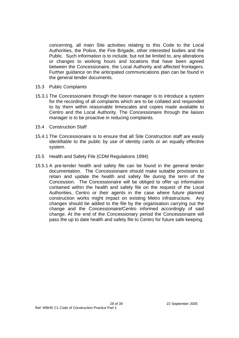concerning, all main Site activities relating to this Code to the Local Authorities, the Police, the Fire Brigade, other interested bodies and the Public. Such information is to include, but not be limited to, any alterations or changes to working hours and locations that have been agreed between the Concessionaire, the Local Authority and affected frontagers. Further guidance on the anticipated communications plan can be found in the general tender documents.

- 15.3 Public Complaints
- 15.3.1 The Concessionaire through the liaison manager is to introduce a system for the recording of all complaints which are to be collated and responded to by them within reasonable timescales and copies made available to Centro and the Local Authority. The Concessionaire through the liaison manager is to be proactive in reducing complaints.
- 15.4 Construction Staff
- 15.4.1 The Concessionaire is to ensure that all Site Construction staff are easily identifiable to the public by use of identity cards or an equally effective system.
- 15.5 Health and Safety File (CDM Regulations 1994)
- 15.5.1 A pre-tender health and safety file can be found in the general tender documentation. The Concessionaire should make suitable provisions to retain and update the health and safety file during the term of the Concession. The Concessionaire will be obliged to offer up information contained within the health and safety file on the request of the Local Authorities, Centro or their agents in the case where future planned construction works might impact on existing Metro infrastructure. Any changes should be added to the file by the organisation carrying out the change and the Concessionaire/Centro informed accordingly of said change. At the end of the Concessionary period the Concessionaire will pass the up to date health and safety file to Centro for future safe keeping.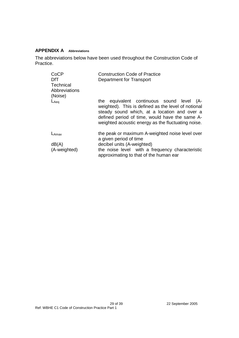#### **APPENDIX A Abbreviations**

The abbreviations below have been used throughout the Construction Code of Practice.

| CoCP<br><b>DfT</b><br>Technical<br>Abbreviations<br>(Noise) | <b>Construction Code of Practice</b><br>Department for Transport                                                                                                                                                                                         |  |
|-------------------------------------------------------------|----------------------------------------------------------------------------------------------------------------------------------------------------------------------------------------------------------------------------------------------------------|--|
| $L$ Aeq                                                     | the equivalent continuous sound level (A-<br>weighted). This is defined as the level of notional<br>steady sound which, at a location and over a<br>defined period of time, would have the same A-<br>weighted acoustic energy as the fluctuating noise. |  |
| LAmax                                                       | the peak or maximum A-weighted noise level over<br>a given period of time                                                                                                                                                                                |  |
| dB(A)                                                       | decibel units (A-weighted)                                                                                                                                                                                                                               |  |
| (A-weighted)                                                | the noise level with a frequency characteristic<br>approximating to that of the human ear                                                                                                                                                                |  |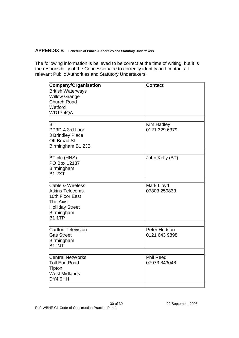#### **APPENDIX B Schedule of Public Authorities and Statutory Undertakers**

The following information is believed to be correct at the time of writing, but it is the responsibility of the Concessionaire to correctly identify and contact all relevant Public Authorities and Statutory Undertakers.

| <b>Company/Organisation</b> | <b>Contact</b>                     |
|-----------------------------|------------------------------------|
| <b>British Waterways</b>    |                                    |
| <b>Willow Grange</b>        |                                    |
| <b>Church Road</b>          |                                    |
| Watford                     |                                    |
| <b>WD174QA</b>              |                                    |
| <b>BT</b>                   |                                    |
| PP3D-4 3rd floor            | <b>Kim Hadley</b><br>0121 329 6379 |
| 3 Brindley Place            |                                    |
| <b>Off Broad St</b>         |                                    |
| Birmingham B1 2JB           |                                    |
|                             |                                    |
| BT plc (HNS)                | John Kelly (BT)                    |
| PO Box 12137                |                                    |
| Birmingham                  |                                    |
| <b>B1 2XT</b>               |                                    |
|                             |                                    |
| Cable & Wireless            | Mark Lloyd                         |
| <b>Atkins Telecoms</b>      | 07803 259833                       |
| 10th Floor East             |                                    |
| <b>The Axis</b>             |                                    |
| <b>Holliday Street</b>      |                                    |
| Birmingham                  |                                    |
| B <sub>1</sub> 1TP          |                                    |
| <b>Carlton Television</b>   | Peter Hudson                       |
| <b>Gas Street</b>           | 0121 643 9898                      |
| Birmingham                  |                                    |
| B1 2JT                      |                                    |
|                             |                                    |
| <b>Central NetWorks</b>     | <b>Phil Reed</b>                   |
| <b>Toll End Road</b>        | 07973 843048                       |
| Tipton                      |                                    |
| <b>West Midlands</b>        |                                    |
| DY4 0HH                     |                                    |
|                             |                                    |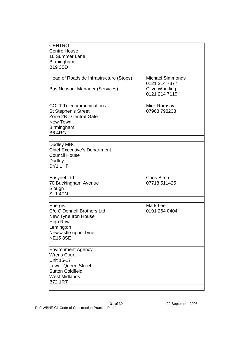| <b>CENTRO</b><br>Centro House<br>16 Summer Lane                                                                                                   |                                                                   |
|---------------------------------------------------------------------------------------------------------------------------------------------------|-------------------------------------------------------------------|
| Birmingham<br><b>B193SD</b>                                                                                                                       |                                                                   |
| Head of Roadside Infrastructure (Stops)<br><b>Bus Network Manager (Services)</b>                                                                  | <b>Michael Simmonds</b><br>0121 214 7377<br><b>Clive Whatling</b> |
|                                                                                                                                                   | 0121 214 7119                                                     |
| <b>COLT Telecommunications</b><br><b>St Stephen's Street</b><br>Zone 2B - Central Gate<br>New Town<br>Birmingham<br><b>B64RG</b>                  | Mick Ramsay<br>07968 798238                                       |
| Dudley MBC<br><b>Chief Executive's Department</b><br><b>Council House</b><br>Dudley<br>DY1 1HF                                                    |                                                                   |
| Easynet Ltd<br>70 Buckingham Avenue<br>Slough<br>SL1 4PN                                                                                          | <b>Chris Birch</b><br>07718 511425                                |
| Energis<br>C/o O'Donnell Brothers Ltd<br>New Tyne Iron House<br>High Row<br>Lemington<br>Newcastle upon Tyne<br><b>NE15 8SE</b>                   | Mark Lee<br>0191 264 0404                                         |
| Environment Agency<br><b>Wrens Court</b><br>Unit 15-17<br>Lower Queen Street<br><b>Sutton Coldfield</b><br><b>West Midlands</b><br><b>B72 1RT</b> |                                                                   |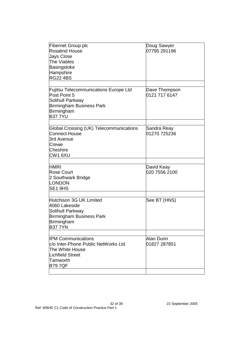| Fibernet Group plc<br>Rosalind House<br><b>Jays Close</b><br><b>The Viables</b><br>Basingstoke<br>Hampshire<br><b>RG22 4BS</b>               | Doug Sawyer<br>07795 291196    |
|----------------------------------------------------------------------------------------------------------------------------------------------|--------------------------------|
| <b>Fujitsu Telecommunications Europe Ltd</b><br>Post Point 5<br>Solihull Parkway<br>Birmingham Business Park<br>Birmingham<br><b>B3777YU</b> | Dave Thompson<br>0121 717 6147 |
| Global Crossing (UK) Telecommunications<br><b>Connect House</b><br>3rd Avenue<br>Crewe<br>Cheshire<br>CW <sub>16XU</sub>                     | Sandra Reay<br>01270 725236    |
| HMRI<br><b>Rose Court</b><br>2 Southwark Bridge<br>LONDON<br>SE1 9HS                                                                         | David Keay<br>020 7556 2100    |
| Hutchison 3G UK Limited<br>4060 Lakeside<br>Solihull Parkway<br>Birmingham Business Park<br>Birmingham<br><b>B3777YN</b>                     | See BT (HNS)                   |
| <b>IPM Communications</b><br>lc/o Inter-Phone Public NetWorks Ltd<br>The White House<br>Lichfield Street<br>Tamworth<br><b>B797QF</b>        | Alan Dunn<br>01827 287851      |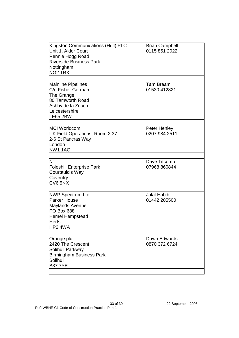| Kingston Communications (Hull) PLC<br>Unit 1, Alder Court<br>Rennie Hogg Road<br><b>Riverside Business Park</b><br>Nottingham<br>NG <sub>2</sub> 1R <sub>X</sub> | <b>Brian Campbell</b><br>0115 851 2022 |
|------------------------------------------------------------------------------------------------------------------------------------------------------------------|----------------------------------------|
| Mainline Pipelines<br>C/o Fisher German<br>The Grange<br>80 Tamworth Road<br>Ashby de la Zouch<br>Leicestershire<br><b>LE65 2BW</b>                              | Tam Bream<br>01530 412821              |
| <b>MCI Worldcom</b><br><b>UK Field Operations, Room 2.37</b><br>2-6 St Pancras Way<br>London<br>NW <sub>1</sub> 1AO                                              | Peter Henley<br>0207 984 2511          |
| <b>NTL</b><br><b>Foleshill Enterprise Park</b><br>Courtauld's Way<br>Coventry<br>CV6 5NX                                                                         | Dave Titcomb<br>07968 860844           |
| <b>NWP Spectrum Ltd</b><br><b>Parker House</b><br><b>Maylands Avenue</b><br>PO Box 688<br>Hemel Hempstead<br><b>Herts</b><br>HP2 4WA                             | <b>Jalal Habib</b><br>01442 205500     |
| Orange plc<br>2420 The Crescent<br>Solihull Parkway<br>Birmingham Business Park<br>Solihull<br><b>B37 7YE</b>                                                    | Dawn Edwards<br>0870 372 6724          |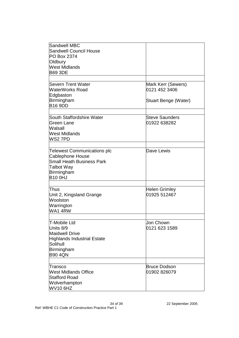| Sandwell MBC<br>Sandwell Council House<br>PO Box 2374<br>Oldbury<br><b>West Midlands</b><br><b>B69 3DE</b>                                      |                                                             |
|-------------------------------------------------------------------------------------------------------------------------------------------------|-------------------------------------------------------------|
| Severn Trent Water<br>WaterWorks Road<br>Edgbaston<br>Birmingham<br><b>B16 9DD</b>                                                              | Mark Kerr (Sewers)<br>0121 452 3406<br>Stuart Benge (Water) |
| South Staffordshire Water<br>lGreen Lane<br>Walsall<br><b>West Midlands</b><br>WS27PD                                                           | <b>Steve Saunders</b><br>01922 638282                       |
| <b>Telewest Communications plc</b><br><b>Cablephone House</b><br>Small Heath Business Park<br><b>Talbot Way</b><br>Birmingham<br><b>B10 OHJ</b> | Dave Lewis                                                  |
| Thus<br>Unit 2, Kingsland Grange<br><b>Woolston</b><br>Warrington<br>WA14RW                                                                     | Helen Grimley<br>01925 512467                               |
| T-Mobile Ltd<br>Units 8/9<br><b>Maidwell Drive</b><br><b>Highlands Industrial Estate</b><br>Solihull<br>Birmingham<br><b>B90 4QN</b>            | Jon Chown<br>0121 623 1589                                  |
| Transco<br><b>West Midlands Office</b><br><b>Stafford Road</b><br>Wolverhampton<br><b>WV10 6HZ</b>                                              | <b>Bruce Dodson</b><br>01902 826079                         |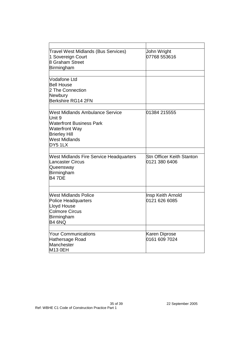| Travel West Midlands (Bus Services)<br>1 Sovereign Court<br>8 Graham Street<br>Birmingham                                                                               | John Wright<br>07768 553616                       |
|-------------------------------------------------------------------------------------------------------------------------------------------------------------------------|---------------------------------------------------|
|                                                                                                                                                                         |                                                   |
| Vodafone Ltd<br><b>Bell House</b><br>2 The Connection<br>Newbury<br>Berkshire RG14 2FN                                                                                  |                                                   |
| <b>West Midlands Ambulance Service</b><br>Unit 9<br><b>Waterfront Business Park</b><br><b>Waterfront Way</b><br><b>Brierley Hill</b><br><b>West Midlands</b><br>DY5 1LX | 01384 215555                                      |
|                                                                                                                                                                         |                                                   |
| <b>West Midlands Fire Service Headquarters</b><br>Lancaster Circus<br>Queensway<br>Birmingham<br><b>B47DE</b>                                                           | <b>Stn Officer Keith Stanton</b><br>0121 380 6406 |
|                                                                                                                                                                         |                                                   |
| <b>West Midlands Police</b><br>Police Headquarters<br>Lloyd House<br><b>Colmore Circus</b><br>Birmingham<br>B4 6NQ                                                      | Insp Keith Arnold<br>0121 626 6085                |
|                                                                                                                                                                         |                                                   |
| Your Communications<br>Hathersage Road<br>Manchester<br>M13 0EH                                                                                                         | Karen Diprose<br>0161 609 7024                    |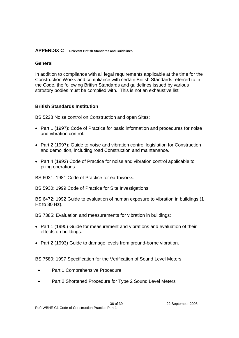#### **APPENDIX C Relevant British Standards and Guidelines**

#### **General**

In addition to compliance with all legal requirements applicable at the time for the Construction Works and compliance with certain British Standards referred to in the Code, the following British Standards and guidelines issued by various statutory bodies must be complied with. This is not an exhaustive list

## **British Standards Institution**

BS 5228 Noise control on Construction and open Sites:

- Part 1 (1997): Code of Practice for basic information and procedures for noise and vibration control.
- Part 2 (1997): Guide to noise and vibration control legislation for Construction and demolition, including road Construction and maintenance.
- Part 4 (1992) Code of Practice for noise and vibration control applicable to piling operations.

BS 6031: 1981 Code of Practice for earthworks.

BS 5930: 1999 Code of Practice for Site Investigations

BS 6472: 1992 Guide to evaluation of human exposure to vibration in buildings (1 Hz to 80 Hz).

BS 7385: Evaluation and measurements for vibration in buildings:

- Part 1 (1990) Guide for measurement and vibrations and evaluation of their effects on buildings.
- Part 2 (1993) Guide to damage levels from ground-borne vibration.

BS 7580: 1997 Specification for the Verification of Sound Level Meters

- Part 1 Comprehensive Procedure
- Part 2 Shortened Procedure for Type 2 Sound Level Meters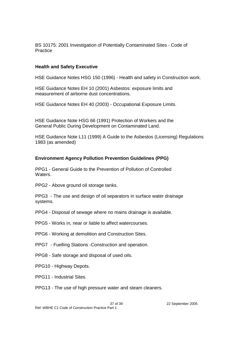BS 10175: 2001 Investigation of Potentially Contaminated Sites - Code of Practice

## **Health and Safety Executive**

HSE Guidance Notes HSG 150 (1996) - Health and safety in Construction work.

HSE Guidance Notes EH 10 (2001) Asbestos: exposure limits and measurement of airborne dust concentrations.

HSE Guidance Notes EH 40 (2003) - Occupational Exposure Limits.

HSE Guidance Note HSG 66 (1991) Protection of Workers and the General Public During Development on Contaminated Land.

HSE Guidance Note L11 (1999) A Guide to the Asbestos (Licensing) Regulations 1983 (as amended)

## **Environment Agency Pollution Prevention Guidelines (PPG)**

PPG1 - General Guide to the Prevention of Pollution of Controlled **Waters** 

PPG2 - Above ground oil storage tanks.

PPG3 - The use and design of oil separators in surface water drainage systems.

PPG4 - Disposal of sewage where no mains drainage is available.

PPG5 - Works in, near or liable to affect watercourses.

PPG6 - Working at demolition and Construction Sites.

PPG7 - Fuelling Stations -Construction and operation.

PPG8 - Safe storage and disposal of used oils.

PPG10 - Highway Depots.

PPG11 - Industrial Sites.

PPG13 - The use of high pressure water and steam cleaners.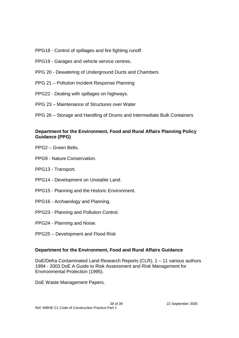PPG18 - Control of spillages and fire fighting runoff.

- PPG19 Garages and vehicle service centres.
- PPG 20 Dewatering of Underground Ducts and Chambers
- PPG 21 Pollution Incident Response Planning
- PPG22 Dealing with spillages on highways.
- PPG 23 Maintenance of Structures over Water
- PPG 26 Storage and Handling of Drums and Intermediate Bulk Containers

# **Department for the Environment, Food and Rural Affairs Planning Policy Guidance (PPG)**

- PPG2 Green Belts.
- PPG9 Nature Conservation.
- PPG13 Transport.
- PPG14 Development on Unstable Land.
- PPG15 Planning and the Historic Environment.
- PPG16 Archaeology and Planning.
- PPG23 Planning and Pollution Control.
- PPG24 Planning and Noise.
- PPG25 Development and Flood Risk

# **Department for the Environment, Food and Rural Affairs Guidance**

DoE/Defra Contaminated Land Research Reports (CLR), 1 – 11 various authors 1994 - 2003 DoE A Guide to Risk Assessment and Risk Management for Environmental Protection (1995).

DoE Waste Management Papers.